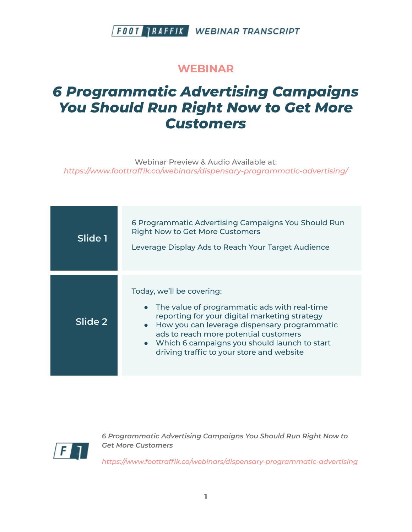#### **WEBINAR**

# *6 Programmatic Advertising Campaigns You Should Run Right Now to Get More Customers*

Webinar Preview & Audio Available at: *https:/ www.foottraffik.co/webinars/dispensary-programmatic-advertising/*

| Slide 1 | 6 Programmatic Advertising Campaigns You Should Run<br><b>Right Now to Get More Customers</b><br>Leverage Display Ads to Reach Your Target Audience                                                                                                                                                                  |
|---------|----------------------------------------------------------------------------------------------------------------------------------------------------------------------------------------------------------------------------------------------------------------------------------------------------------------------|
| Slide 2 | Today, we'll be covering:<br>The value of programmatic ads with real-time<br>reporting for your digital marketing strategy<br>• How you can leverage dispensary programmatic<br>ads to reach more potential customers<br>• Which 6 campaigns you should launch to start<br>driving traffic to your store and website |



*6 Programmatic Advertising Campaigns You Should Run Right Now to Get More Customers*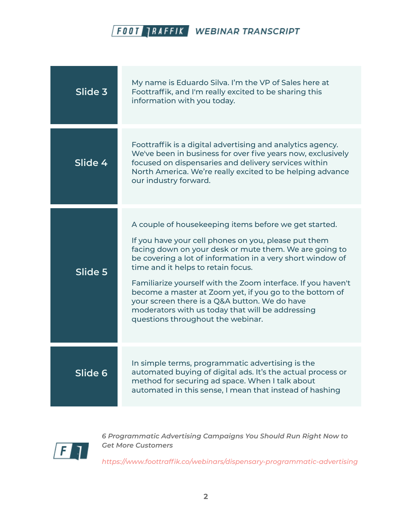| Slide 3 | My name is Eduardo Silva. I'm the VP of Sales here at<br>Foottraffik, and I'm really excited to be sharing this<br>information with you today.                                                                                                                                                                                                                                                                                                                                                                                                   |
|---------|--------------------------------------------------------------------------------------------------------------------------------------------------------------------------------------------------------------------------------------------------------------------------------------------------------------------------------------------------------------------------------------------------------------------------------------------------------------------------------------------------------------------------------------------------|
| Slide 4 | Foottraffik is a digital advertising and analytics agency.<br>We've been in business for over five years now, exclusively<br>focused on dispensaries and delivery services within<br>North America. We're really excited to be helping advance<br>our industry forward.                                                                                                                                                                                                                                                                          |
| Slide 5 | A couple of housekeeping items before we get started.<br>If you have your cell phones on you, please put them<br>facing down on your desk or mute them. We are going to<br>be covering a lot of information in a very short window of<br>time and it helps to retain focus.<br>Familiarize yourself with the Zoom interface. If you haven't<br>become a master at Zoom yet, if you go to the bottom of<br>your screen there is a Q&A button. We do have<br>moderators with us today that will be addressing<br>questions throughout the webinar. |
| Slide 6 | In simple terms, programmatic advertising is the<br>automated buying of digital ads. It's the actual process or<br>method for securing ad space. When I talk about<br>automated in this sense, I mean that instead of hashing                                                                                                                                                                                                                                                                                                                    |



*6 Programmatic Advertising Campaigns You Should Run Right Now to Get More Customers*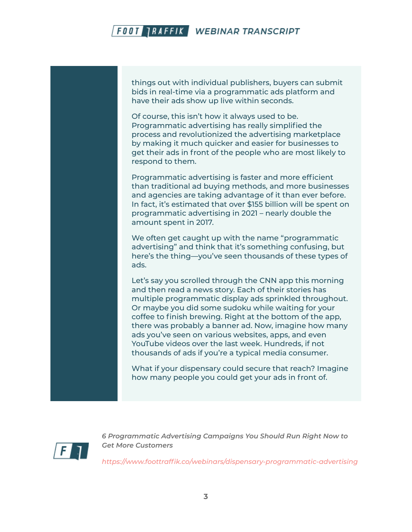things out with individual publishers, buyers can submit bids in real-time via a programmatic ads platform and have their ads show up live within seconds.

Of course, this isn't how it always used to be. Programmatic advertising has really simplified the process and revolutionized the advertising marketplace by making it much quicker and easier for businesses to get their ads in front of the people who are most likely to respond to them.

Programmatic advertising is faster and more efficient than traditional ad buying methods, and more businesses and agencies are taking advantage of it than ever before. In fact, it's estimated that over \$155 billion will be spent on programmatic advertising in 2021 – nearly double the amount spent in 2017.

We often get caught up with the name "programmatic advertising" and think that it's something confusing, but here's the thing—you've seen thousands of these types of ads.

Let's say you scrolled through the CNN app this morning and then read a news story. Each of their stories has multiple programmatic display ads sprinkled throughout. Or maybe you did some sudoku while waiting for your coffee to finish brewing. Right at the bottom of the app, there was probably a banner ad. Now, imagine how many ads you've seen on various websites, apps, and even YouTube videos over the last week. Hundreds, if not thousands of ads if you're a typical media consumer.

What if your dispensary could secure that reach? Imagine how many people you could get your ads in front of.



*6 Programmatic Advertising Campaigns You Should Run Right Now to Get More Customers*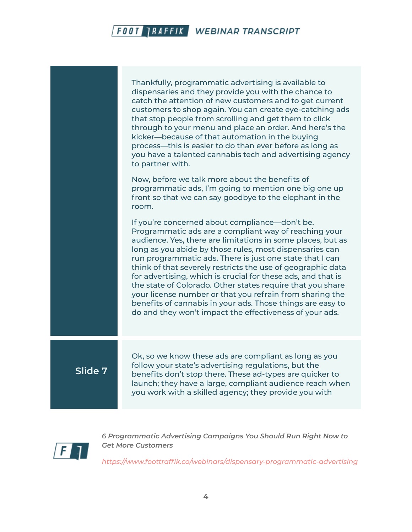Thankfully, programmatic advertising is available to dispensaries and they provide you with the chance to catch the attention of new customers and to get current customers to shop again. You can create eye-catching ads that stop people from scrolling and get them to click through to your menu and place an order. And here's the kicker—because of that automation in the buying process—this is easier to do than ever before as long as you have a talented cannabis tech and advertising agency to partner with. Now, before we talk more about the benefits of programmatic ads, I'm going to mention one big one up front so that we can say goodbye to the elephant in the room. If you're concerned about compliance—don't be. Programmatic ads are a compliant way of reaching your audience. Yes, there are limitations in some places, but as long as you abide by those rules, most dispensaries can run programmatic ads. There is just one state that I can think of that severely restricts the use of geographic data for advertising, which is crucial for these ads, and that is the state of Colorado. Other states require that you share your license number or that you refrain from sharing the benefits of cannabis in your ads. Those things are easy to do and they won't impact the effectiveness of your ads. **Slide 7** Ok, so we know these ads are compliant as long as you follow your state's advertising regulations, but the

benefits don't stop there. These ad-types are quicker to launch; they have a large, compliant audience reach when you work with a skilled agency; they provide you with



*6 Programmatic Advertising Campaigns You Should Run Right Now to Get More Customers*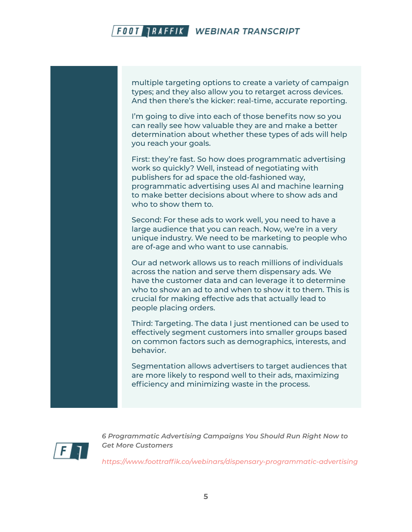multiple targeting options to create a variety of campaign types; and they also allow you to retarget across devices. And then there's the kicker: real-time, accurate reporting.

I'm going to dive into each of those benefits now so you can really see how valuable they are and make a better determination about whether these types of ads will help you reach your goals.

First: they're fast. So how does programmatic advertising work so quickly? Well, instead of negotiating with publishers for ad space the old-fashioned way, programmatic advertising uses AI and machine learning to make better decisions about where to show ads and who to show them to.

Second: For these ads to work well, you need to have a large audience that you can reach. Now, we're in a very unique industry. We need to be marketing to people who are of-age and who want to use cannabis.

Our ad network allows us to reach millions of individuals across the nation and serve them dispensary ads. We have the customer data and can leverage it to determine who to show an ad to and when to show it to them. This is crucial for making effective ads that actually lead to people placing orders.

Third: Targeting. The data I just mentioned can be used to effectively segment customers into smaller groups based on common factors such as demographics, interests, and behavior.

Segmentation allows advertisers to target audiences that are more likely to respond well to their ads, maximizing efficiency and minimizing waste in the process.



*6 Programmatic Advertising Campaigns You Should Run Right Now to Get More Customers*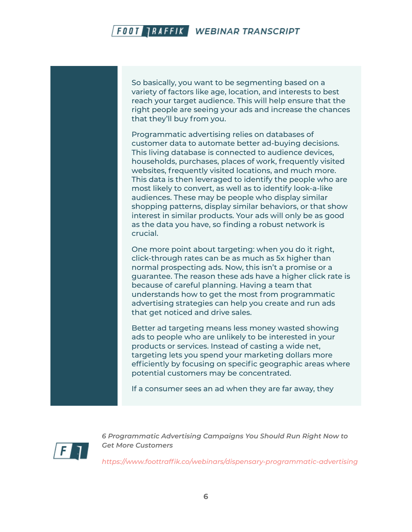So basically, you want to be segmenting based on a variety of factors like age, location, and interests to best reach your target audience. This will help ensure that the right people are seeing your ads and increase the chances that they'll buy from you.

Programmatic advertising relies on databases of customer data to automate better ad-buying decisions. This living database is connected to audience devices, households, purchases, places of work, frequently visited websites, frequently visited locations, and much more. This data is then leveraged to identify the people who are most likely to convert, as well as to identify look-a-like audiences. These may be people who display similar shopping patterns, display similar behaviors, or that show interest in similar products. Your ads will only be as good as the data you have, so finding a robust network is crucial.

One more point about targeting: when you do it right, click-through rates can be as much as 5x higher than normal prospecting ads. Now, this isn't a promise or a guarantee. The reason these ads have a higher click rate is because of careful planning. Having a team that understands how to get the most from programmatic advertising strategies can help you create and run ads that get noticed and drive sales.

Better ad targeting means less money wasted showing ads to people who are unlikely to be interested in your products or services. Instead of casting a wide net, targeting lets you spend your marketing dollars more efficiently by focusing on specific geographic areas where potential customers may be concentrated.

If a consumer sees an ad when they are far away, they



*6 Programmatic Advertising Campaigns You Should Run Right Now to Get More Customers*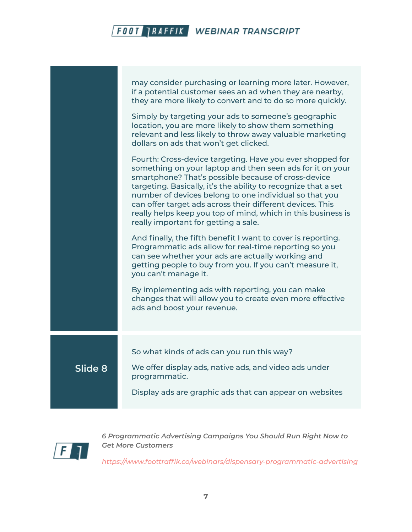|         | may consider purchasing or learning more later. However,<br>if a potential customer sees an ad when they are nearby,<br>they are more likely to convert and to do so more quickly.                                                                                                                                                                                                                                                                                             |
|---------|--------------------------------------------------------------------------------------------------------------------------------------------------------------------------------------------------------------------------------------------------------------------------------------------------------------------------------------------------------------------------------------------------------------------------------------------------------------------------------|
|         | Simply by targeting your ads to someone's geographic<br>location, you are more likely to show them something<br>relevant and less likely to throw away valuable marketing<br>dollars on ads that won't get clicked.                                                                                                                                                                                                                                                            |
|         | Fourth: Cross-device targeting. Have you ever shopped for<br>something on your laptop and then seen ads for it on your<br>smartphone? That's possible because of cross-device<br>targeting. Basically, it's the ability to recognize that a set<br>number of devices belong to one individual so that you<br>can offer target ads across their different devices. This<br>really helps keep you top of mind, which in this business is<br>really important for getting a sale. |
|         | And finally, the fifth benefit I want to cover is reporting.<br>Programmatic ads allow for real-time reporting so you<br>can see whether your ads are actually working and<br>getting people to buy from you. If you can't measure it,<br>you can't manage it.                                                                                                                                                                                                                 |
|         | By implementing ads with reporting, you can make<br>changes that will allow you to create even more effective<br>ads and boost your revenue.                                                                                                                                                                                                                                                                                                                                   |
|         | So what kinds of ads can you run this way?                                                                                                                                                                                                                                                                                                                                                                                                                                     |
| Slide 8 | We offer display ads, native ads, and video ads under<br>programmatic.                                                                                                                                                                                                                                                                                                                                                                                                         |
|         | Display ads are graphic ads that can appear on websites                                                                                                                                                                                                                                                                                                                                                                                                                        |
|         |                                                                                                                                                                                                                                                                                                                                                                                                                                                                                |



*6 Programmatic Advertising Campaigns You Should Run Right Now to Get More Customers*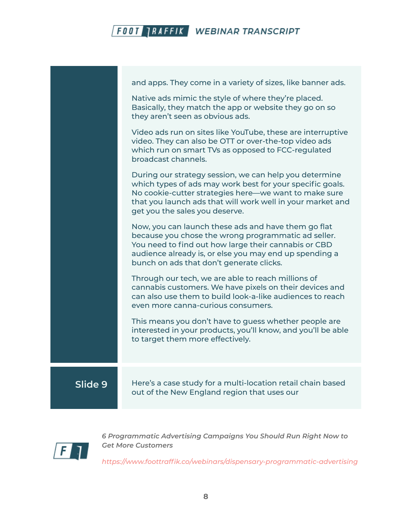

and apps. They come in a variety of sizes, like banner ads. Native ads mimic the style of where they're placed. Basically, they match the app or website they go on so they aren't seen as obvious ads. Video ads run on sites like YouTube, these are interruptive video. They can also be OTT or over-the-top video ads which run on smart TVs as opposed to FCC-regulated broadcast channels. During our strategy session, we can help you determine which types of ads may work best for your specific goals. No cookie-cutter strategies here—we want to make sure that you launch ads that will work well in your market and get you the sales you deserve. Now, you can launch these ads and have them go flat because you chose the wrong programmatic ad seller. You need to find out how large their cannabis or CBD audience already is, or else you may end up spending a bunch on ads that don't generate clicks. Through our tech, we are able to reach millions of cannabis customers. We have pixels on their devices and can also use them to build look-a-like audiences to reach even more canna-curious consumers. This means you don't have to guess whether people are interested in your products, you'll know, and you'll be able to target them more effectively. **Slide 9** Here's a case study for a multi-location retail chain based out of the New England region that uses our



*6 Programmatic Advertising Campaigns You Should Run Right Now to Get More Customers*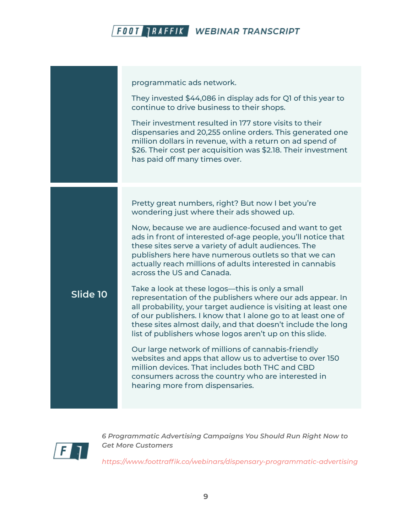programmatic ads network. They invested \$44,086 in display ads for Q1 of this year to continue to drive business to their shops. Their investment resulted in 177 store visits to their dispensaries and 20,255 online orders. This generated one million dollars in revenue, with a return on ad spend of \$26. Their cost per acquisition was \$2.18. Their investment has paid off many times over. **Slide 10** Pretty great numbers, right? But now I bet you're wondering just where their ads showed up. Now, because we are audience-focused and want to get ads in front of interested of-age people, you'll notice that these sites serve a variety of adult audiences. The publishers here have numerous outlets so that we can actually reach millions of adults interested in cannabis across the US and Canada. Take a look at these logos—this is only a small representation of the publishers where our ads appear. In all probability, your target audience is visiting at least one of our publishers. I know that I alone go to at least one of these sites almost daily, and that doesn't include the long list of publishers whose logos aren't up on this slide. Our large network of millions of cannabis-friendly websites and apps that allow us to advertise to over 150 million devices. That includes both THC and CBD consumers across the country who are interested in hearing more from dispensaries.



*6 Programmatic Advertising Campaigns You Should Run Right Now to Get More Customers*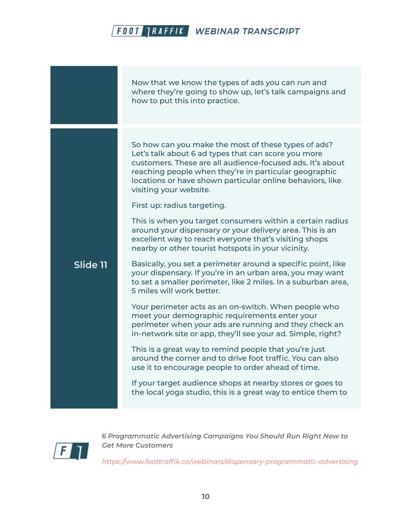Now that we know the types of ads you can run and where they're going to show up, let's talk campaigns and how to put this into practice. **Slide 11** So how can you make the most of these types of ads? Let's talk about 6 ad types that can score you more customers. These are all audience-focused ads. It's about reaching people when they're in particular geographic locations or have shown particular online behaviors, like visiting your website. First up: radius targeting. This is when you target consumers within a certain radius around your dispensary or your delivery area. This is an excellent way to reach everyone that's visiting shops nearby or other tourist hotspots in your vicinity. Basically, you set a perimeter around a specific point, like your dispensary. If you're in an urban area, you may want to set a smaller perimeter, like 2 miles. In a suburban area, 5 miles will work better. Your perimeter acts as an on-switch. When people who meet your demographic requirements enter your perimeter when your ads are running and they check an in-network site or app, they'll see your ad. Simple, right? This is a great way to remind people that you're just around the corner and to drive foot traffic. You can also use it to encourage people to order ahead of time. If your target audience shops at nearby stores or goes to the local yoga studio, this is a great way to entice them to



*6 Programmatic Advertising Campaigns You Should Run Right Now to Get More Customers*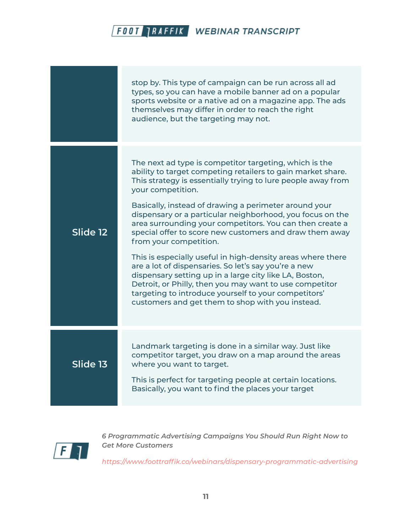|          | stop by. This type of campaign can be run across all ad<br>types, so you can have a mobile banner ad on a popular<br>sports website or a native ad on a magazine app. The ads<br>themselves may differ in order to reach the right<br>audience, but the targeting may not.                                                                                                                                                                                                                                                                                                                                                                                                                                                                                                                                                                |
|----------|-------------------------------------------------------------------------------------------------------------------------------------------------------------------------------------------------------------------------------------------------------------------------------------------------------------------------------------------------------------------------------------------------------------------------------------------------------------------------------------------------------------------------------------------------------------------------------------------------------------------------------------------------------------------------------------------------------------------------------------------------------------------------------------------------------------------------------------------|
| Slide 12 | The next ad type is competitor targeting, which is the<br>ability to target competing retailers to gain market share.<br>This strategy is essentially trying to lure people away from<br>your competition.<br>Basically, instead of drawing a perimeter around your<br>dispensary or a particular neighborhood, you focus on the<br>area surrounding your competitors. You can then create a<br>special offer to score new customers and draw them away<br>from your competition.<br>This is especially useful in high-density areas where there<br>are a lot of dispensaries. So let's say you're a new<br>dispensary setting up in a large city like LA, Boston,<br>Detroit, or Philly, then you may want to use competitor<br>targeting to introduce yourself to your competitors'<br>customers and get them to shop with you instead. |
| Slide 13 | Landmark targeting is done in a similar way. Just like<br>competitor target, you draw on a map around the areas<br>where you want to target.<br>This is perfect for targeting people at certain locations.<br>Basically, you want to find the places your target                                                                                                                                                                                                                                                                                                                                                                                                                                                                                                                                                                          |



*6 Programmatic Advertising Campaigns You Should Run Right Now to Get More Customers*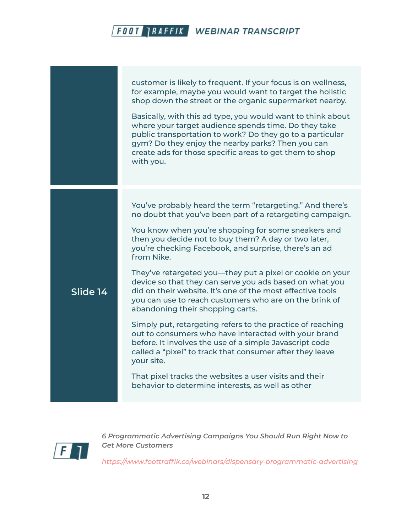customer is likely to frequent. If your focus is on wellness, for example, maybe you would want to target the holistic shop down the street or the organic supermarket nearby. Basically, with this ad type, you would want to think about where your target audience spends time. Do they take public transportation to work? Do they go to a particular gym? Do they enjoy the nearby parks? Then you can create ads for those specific areas to get them to shop with you. **Slide 14** You've probably heard the term "retargeting." And there's no doubt that you've been part of a retargeting campaign. You know when you're shopping for some sneakers and then you decide not to buy them? A day or two later, you're checking Facebook, and surprise, there's an ad from Nike. They've retargeted you—they put a pixel or cookie on your device so that they can serve you ads based on what you did on their website. It's one of the most effective tools you can use to reach customers who are on the brink of abandoning their shopping carts. Simply put, retargeting refers to the practice of reaching out to consumers who have interacted with your brand before. It involves the use of a simple Javascript code called a "pixel" to track that consumer after they leave your site. That pixel tracks the websites a user visits and their behavior to determine interests, as well as other



*6 Programmatic Advertising Campaigns You Should Run Right Now to Get More Customers*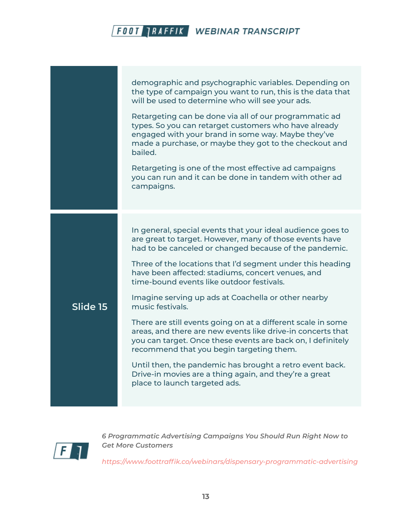|          | demographic and psychographic variables. Depending on<br>the type of campaign you want to run, this is the data that<br>will be used to determine who will see your ads.<br>Retargeting can be done via all of our programmatic ad<br>types. So you can retarget customers who have already<br>engaged with your brand in some way. Maybe they've<br>made a purchase, or maybe they got to the checkout and<br>bailed.<br>Retargeting is one of the most effective ad campaigns<br>you can run and it can be done in tandem with other ad<br>campaigns.                                                                                                                                                                                                                                                                      |
|----------|------------------------------------------------------------------------------------------------------------------------------------------------------------------------------------------------------------------------------------------------------------------------------------------------------------------------------------------------------------------------------------------------------------------------------------------------------------------------------------------------------------------------------------------------------------------------------------------------------------------------------------------------------------------------------------------------------------------------------------------------------------------------------------------------------------------------------|
| Slide 15 | In general, special events that your ideal audience goes to<br>are great to target. However, many of those events have<br>had to be canceled or changed because of the pandemic.<br>Three of the locations that I'd segment under this heading<br>have been affected: stadiums, concert venues, and<br>time-bound events like outdoor festivals.<br>Imagine serving up ads at Coachella or other nearby<br>music festivals.<br>There are still events going on at a different scale in some<br>areas, and there are new events like drive-in concerts that<br>you can target. Once these events are back on, I definitely<br>recommend that you begin targeting them.<br>Until then, the pandemic has brought a retro event back.<br>Drive-in movies are a thing again, and they're a great<br>place to launch targeted ads. |



*6 Programmatic Advertising Campaigns You Should Run Right Now to Get More Customers*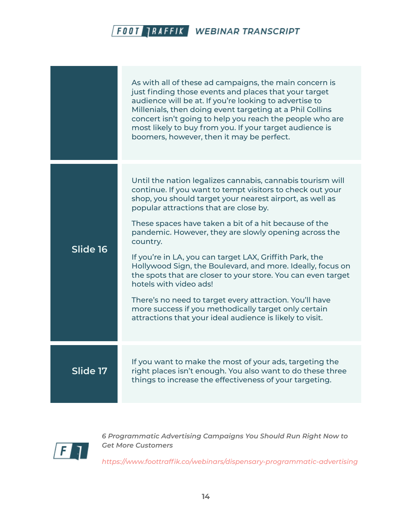|          | As with all of these ad campaigns, the main concern is<br>just finding those events and places that your target<br>audience will be at. If you're looking to advertise to<br>Millenials, then doing event targeting at a Phil Collins<br>concert isn't going to help you reach the people who are<br>most likely to buy from you. If your target audience is<br>boomers, however, then it may be perfect. |
|----------|-----------------------------------------------------------------------------------------------------------------------------------------------------------------------------------------------------------------------------------------------------------------------------------------------------------------------------------------------------------------------------------------------------------|
| Slide 16 | Until the nation legalizes cannabis, cannabis tourism will<br>continue. If you want to tempt visitors to check out your<br>shop, you should target your nearest airport, as well as<br>popular attractions that are close by.                                                                                                                                                                             |
|          | These spaces have taken a bit of a hit because of the<br>pandemic. However, they are slowly opening across the<br>country.                                                                                                                                                                                                                                                                                |
|          | If you're in LA, you can target LAX, Griffith Park, the<br>Hollywood Sign, the Boulevard, and more. Ideally, focus on<br>the spots that are closer to your store. You can even target<br>hotels with video ads!                                                                                                                                                                                           |
|          | There's no need to target every attraction. You'll have<br>more success if you methodically target only certain<br>attractions that your ideal audience is likely to visit.                                                                                                                                                                                                                               |
| Slide 17 | If you want to make the most of your ads, targeting the                                                                                                                                                                                                                                                                                                                                                   |
|          | right places isn't enough. You also want to do these three<br>things to increase the effectiveness of your targeting.                                                                                                                                                                                                                                                                                     |



*6 Programmatic Advertising Campaigns You Should Run Right Now to Get More Customers*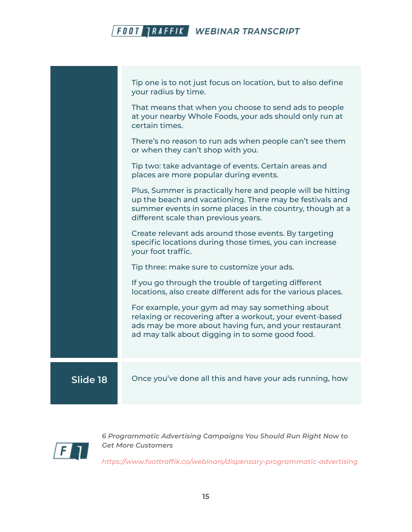|          | Tip one is to not just focus on location, but to also define<br>your radius by time.                                                                                                                                        |
|----------|-----------------------------------------------------------------------------------------------------------------------------------------------------------------------------------------------------------------------------|
|          | That means that when you choose to send ads to people<br>at your nearby Whole Foods, your ads should only run at<br>certain times.                                                                                          |
|          | There's no reason to run ads when people can't see them<br>or when they can't shop with you.                                                                                                                                |
|          | Tip two: take advantage of events. Certain areas and<br>places are more popular during events.                                                                                                                              |
|          | Plus, Summer is practically here and people will be hitting<br>up the beach and vacationing. There may be festivals and<br>summer events in some places in the country, though at a<br>different scale than previous years. |
|          | Create relevant ads around those events. By targeting<br>specific locations during those times, you can increase<br>your foot traffic.                                                                                      |
|          | Tip three: make sure to customize your ads.                                                                                                                                                                                 |
|          | If you go through the trouble of targeting different<br>locations, also create different ads for the various places.                                                                                                        |
|          | For example, your gym ad may say something about<br>relaxing or recovering after a workout, your event-based<br>ads may be more about having fun, and your restaurant<br>ad may talk about digging in to some good food.    |
|          |                                                                                                                                                                                                                             |
| Slide 18 | Once you've done all this and have your ads running, how                                                                                                                                                                    |



*6 Programmatic Advertising Campaigns You Should Run Right Now to Get More Customers*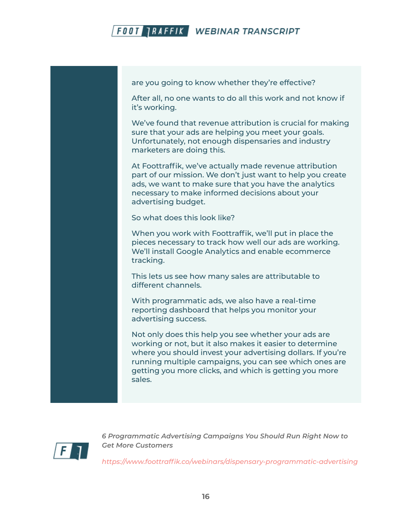

are you going to know whether they're effective?

After all, no one wants to do all this work and not know if it's working.

We've found that revenue attribution is crucial for making sure that your ads are helping you meet your goals. Unfortunately, not enough dispensaries and industry marketers are doing this.

At Foottraffik, we've actually made revenue attribution part of our mission. We don't just want to help you create ads, we want to make sure that you have the analytics necessary to make informed decisions about your advertising budget.

So what does this look like?

When you work with Foottraffik, we'll put in place the pieces necessary to track how well our ads are working. We'll install Google Analytics and enable ecommerce tracking.

This lets us see how many sales are attributable to different channels.

With programmatic ads, we also have a real-time reporting dashboard that helps you monitor your advertising success.

Not only does this help you see whether your ads are working or not, but it also makes it easier to determine where you should invest your advertising dollars. If you're running multiple campaigns, you can see which ones are getting you more clicks, and which is getting you more sales.



*6 Programmatic Advertising Campaigns You Should Run Right Now to Get More Customers*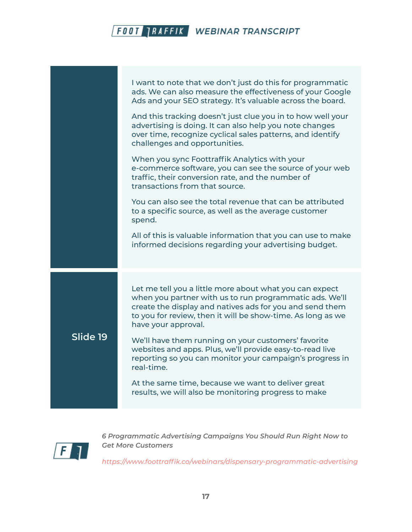|          | I want to note that we don't just do this for programmatic<br>ads. We can also measure the effectiveness of your Google<br>Ads and your SEO strategy. It's valuable across the board.                                                                                |
|----------|----------------------------------------------------------------------------------------------------------------------------------------------------------------------------------------------------------------------------------------------------------------------|
|          | And this tracking doesn't just clue you in to how well your<br>advertising is doing. It can also help you note changes<br>over time, recognize cyclical sales patterns, and identify<br>challenges and opportunities.                                                |
|          | When you sync Foottraffik Analytics with your<br>e-commerce software, you can see the source of your web<br>traffic, their conversion rate, and the number of<br>transactions from that source.                                                                      |
|          | You can also see the total revenue that can be attributed<br>to a specific source, as well as the average customer<br>spend.                                                                                                                                         |
|          | All of this is valuable information that you can use to make<br>informed decisions regarding your advertising budget.                                                                                                                                                |
| Slide 19 | Let me tell you a little more about what you can expect<br>when you partner with us to run programmatic ads. We'll<br>create the display and natives ads for you and send them<br>to you for review, then it will be show-time. As long as we<br>have your approval. |
|          | We'll have them running on your customers' favorite<br>websites and apps. Plus, we'll provide easy-to-read live<br>reporting so you can monitor your campaign's progress in<br>real-time.                                                                            |
|          | At the same time, because we want to deliver great<br>results, we will also be monitoring progress to make                                                                                                                                                           |



*6 Programmatic Advertising Campaigns You Should Run Right Now to Get More Customers*